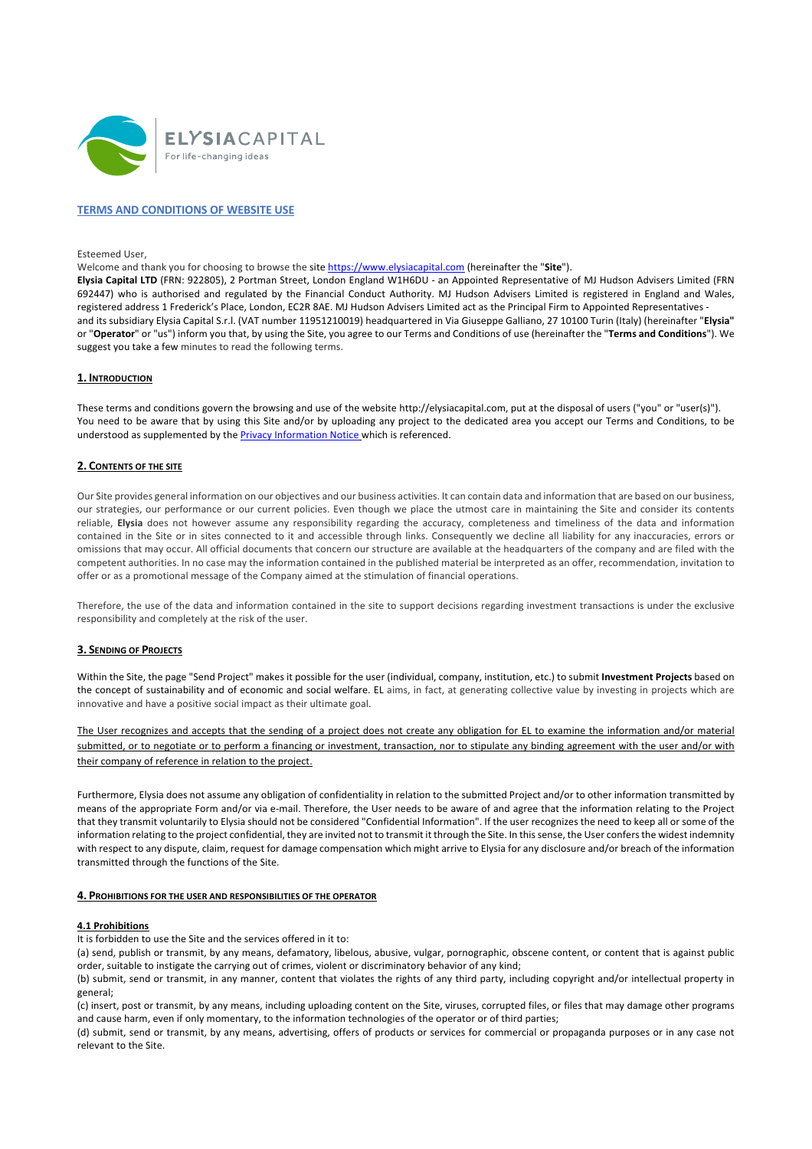

# **TERMS AND CONDITIONS OF WEBSITE USE**

Esteemed User,

Welcome and thank you for choosing to browse the site https://www.elysiacapital.com (hereinafter the "**Site**").

**Elysia Capital LTD** (FRN: 922805), 2 Portman Street, London England W1H6DU - an Appointed Representative of MJ Hudson Advisers Limited (FRN 692447) who is authorised and regulated by the Financial Conduct Authority. MJ Hudson Advisers Limited is registered in England and Wales, registered address 1 Frederick's Place, London, EC2R 8AE. MJ Hudson Advisers Limited act as the Principal Firm to Appointed Representatives and its subsidiary Elysia Capital S.r.l. (VAT number 11951210019) headquartered in Via Giuseppe Galliano, 27 10100 Turin (Italy) (hereinafter "**Elysia"** or "**Operator**" or "us") inform you that, by using the Site, you agree to our Terms and Conditions of use (hereinafter the "**Terms and Conditions**"). We suggest you take a few minutes to read the following terms.

### **1. INTRODUCTION**

These terms and conditions govern the browsing and use of the website http://elysiacapital.com, put at the disposal of users ("you" or "user(s)"). You need to be aware that by using this Site and/or by uploading any project to the dedicated area you accept our Terms and Conditions, to be understood as supplemented by the **Privacy Information Notice** which is referenced.

# **2. CONTENTS OF THE SITE**

Our Site provides general information on our objectives and our business activities. It can contain data and information that are based on our business, our strategies, our performance or our current policies. Even though we place the utmost care in maintaining the Site and consider its contents reliable, **Elysia** does not however assume any responsibility regarding the accuracy, completeness and timeliness of the data and information contained in the Site or in sites connected to it and accessible through links. Consequently we decline all liability for any inaccuracies, errors or omissions that may occur. All official documents that concern our structure are available at the headquarters of the company and are filed with the competent authorities. In no case may the information contained in the published material be interpreted as an offer, recommendation, invitation to offer or as a promotional message of the Company aimed at the stimulation of financial operations.

Therefore, the use of the data and information contained in the site to support decisions regarding investment transactions is under the exclusive responsibility and completely at the risk of the user.

### **3. SENDING OF PROJECTS**

Within the Site, the page "Send Project" makes it possible for the user (individual, company, institution, etc.) to submit **Investment Projects** based on the concept of sustainability and of economic and social welfare. EL aims, in fact, at generating collective value by investing in projects which are innovative and have a positive social impact as their ultimate goal.

The User recognizes and accepts that the sending of a project does not create any obligation for EL to examine the information and/or material submitted, or to negotiate or to perform a financing or investment, transaction, nor to stipulate any binding agreement with the user and/or with their company of reference in relation to the project.

Furthermore, Elysia does not assume any obligation of confidentiality in relation to the submitted Project and/or to other information transmitted by means of the appropriate Form and/or via e-mail. Therefore, the User needs to be aware of and agree that the information relating to the Project that they transmit voluntarily to Elysia should not be considered "Confidential Information". If the user recognizes the need to keep all or some of the information relating to the project confidential, they are invited not to transmit it through the Site. In this sense, the User confers the widest indemnity with respect to any dispute, claim, request for damage compensation which might arrive to Elysia for any disclosure and/or breach of the information transmitted through the functions of the Site.

#### **4. PROHIBITIONS FOR THE USER AND RESPONSIBILITIES OF THE OPERATOR**

### **4.1 Prohibitions**

It is forbidden to use the Site and the services offered in it to:

(a) send, publish or transmit, by any means, defamatory, libelous, abusive, vulgar, pornographic, obscene content, or content that is against public order, suitable to instigate the carrying out of crimes, violent or discriminatory behavior of any kind;

(b) submit, send or transmit, in any manner, content that violates the rights of any third party, including copyright and/or intellectual property in general;

(c) insert, post or transmit, by any means, including uploading content on the Site, viruses, corrupted files, or files that may damage other programs and cause harm, even if only momentary, to the information technologies of the operator or of third parties;

(d) submit, send or transmit, by any means, advertising, offers of products or services for commercial or propaganda purposes or in any case not relevant to the Site.